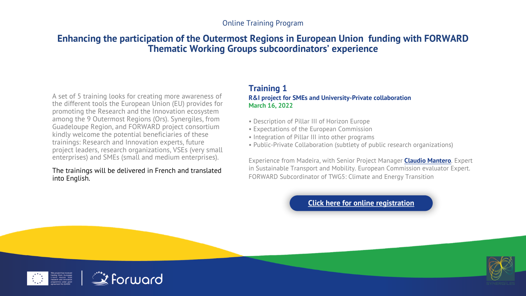#### Online Training Program

## **Enhancing the participation of the Outermost Regions in European Thematic Working Groups subcoordinators' e**

A set of 5 training looks for creating more awareness of the different tools the European Union (EU) provides for promoting the Research and the Innovation ecosystem among the 9 Outermost Regions (Ors). Synergiles, from Guadeloupe Region, and FORWARD project consortium kindly welcome the potential beneficiaries of these trainings: Research and Innovation experts, future project leaders, research organizations, VSEs (very small enterprises) and SMEs (small and medium enterprises).

#### The trainings will be delivered in French and translated into English.

### **Training 1 R&I project for SMEs and University-March 16, 2022**

- Description of Pillar III of Hor
- Expectations of the European
- Integration of Pillar III into other
- Public-Private Collaboration

Experience from Madeira, with in Sustainable Transport and M FORWARD Subcordinator of TV

# **Click here**